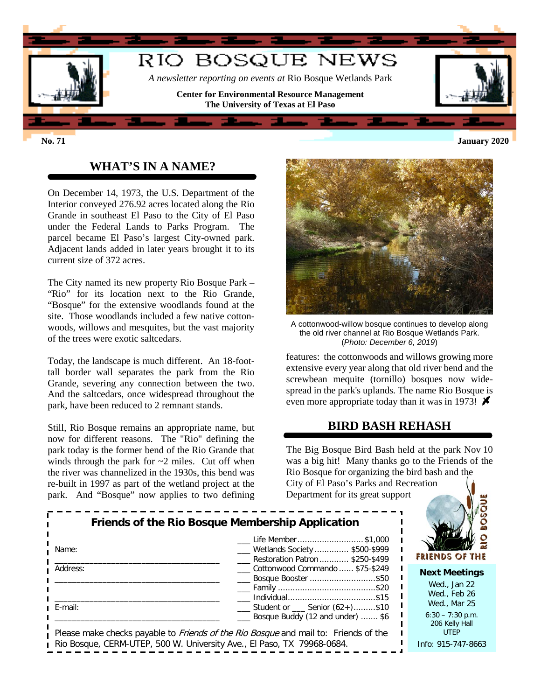

### **WHAT'S IN A NAME?**

On December 14, 1973, the U.S. Department of the Interior conveyed 276.92 acres located along the Rio Grande in southeast El Paso to the City of El Paso under the Federal Lands to Parks Program. The parcel became El Paso's largest City-owned park. Adjacent lands added in later years brought it to its current size of 372 acres.

The City named its new property Rio Bosque Park – "Rio" for its location next to the Rio Grande, "Bosque" for the extensive woodlands found at the site. Those woodlands included a few native cottonwoods, willows and mesquites, but the vast majority of the trees were exotic saltcedars.

Today, the landscape is much different. An 18-foottall border wall separates the park from the Rio Grande, severing any connection between the two. And the saltcedars, once widespread throughout the park, have been reduced to 2 remnant stands.

Still, Rio Bosque remains an appropriate name, but now for different reasons. The "Rio" defining the park today is the former bend of the Rio Grande that winds through the park for  $\sim$ 2 miles. Cut off when the river was channelized in the 1930s, this bend was re-built in 1997 as part of the wetland project at the park. And "Bosque" now applies to two defining



A cottonwood-willow bosque continues to develop along the old river channel at Rio Bosque Wetlands Park. (*Photo: December 6, 2019*)

features: the cottonwoods and willows growing more extensive every year along that old river bend and the screwbean mequite (tornillo) bosques now widespread in the park's uplands. The name Rio Bosque is even more appropriate today than it was in 1973!  $\blacktriangleright$ 

#### **BIRD BASH REHASH**

The Big Bosque Bird Bash held at the park Nov 10 was a big hit! Many thanks go to the Friends of the Rio Bosque for organizing the bird bash and the City of El Paso's Parks and Recreation Department for its great support

**BOSOD** 

 $\mathbf{o}$ 

**Friends of the Rio Bosque Membership Application** Life Member............................... \$1,000 Name: \_\_\_ Metlands Society ............... \$500-\$999 FRIENDS OF THE Restoration Patron ............ \$250-\$499 п Address: \_\_\_ Cottonwood Commando ...... \$75-\$249 ı **Next Meetings** \_\_\_\_\_\_\_\_\_\_\_\_\_\_\_\_\_\_\_\_\_\_\_\_\_\_\_\_\_\_\_\_\_\_\_\_\_\_ \_\_\_ Bosque Booster ...........................\$50 H Wed., Jan 22 I \_\_\_ Family ........................................\$20 Wed., Feb 26 \_\_\_\_\_\_\_\_\_\_\_\_\_\_\_\_\_\_\_\_\_\_\_\_\_\_\_\_\_\_\_\_\_\_\_\_\_\_ \_\_\_ Individual....................................\$15 п Wed., Mar 25 Student or  $\_\_\_$  Senior  $(62+)$ .........\$10 п 6:30 – 7:30 p.m. \_\_\_\_\_\_\_\_\_\_\_\_\_\_\_\_\_\_\_\_\_\_\_\_\_\_\_\_\_\_\_\_\_\_\_\_\_\_ \_\_\_ Bosque Buddy (12 and under) ....... \$6 п 206 Kelly Hall п UTEP Please make checks payable to *Friends of the Rio Bosque* and mail to: Friends of the I. Rio Bosque, CERM-UTEP, 500 W. University Ave., El Paso, TX 79968-0684. I Info: 915-747-8663